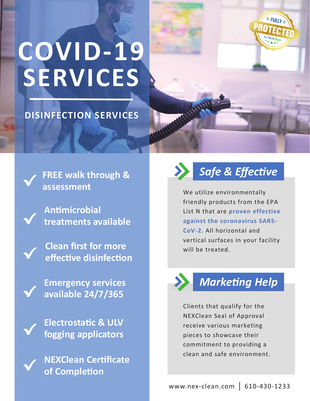# **COVID-19 SERVICES**

#### **DISINFECTION SERVICES**



**FREE walk through & assessment** 

**AnƟmicrobial treatments available** 

**Clean first for more effecƟve disinfecƟon** 

**Emergency services available 24/7/365** 

**ElectrostaƟc & ULV fogging applicators** 

**NEXClean CerƟficate of CompleƟon** 



We utilize environmentally friendly products from the EPA List N that are **proven effective against the coronavirus SARS-CoV-2**. All horizontal and vertical surfaces in your facility will be treated.



### **Marketing Help**

Clients that qualify for the NEXClean Seal of Approval receive various marketing pieces to showcase their commitment to providing a clean and safe environment.